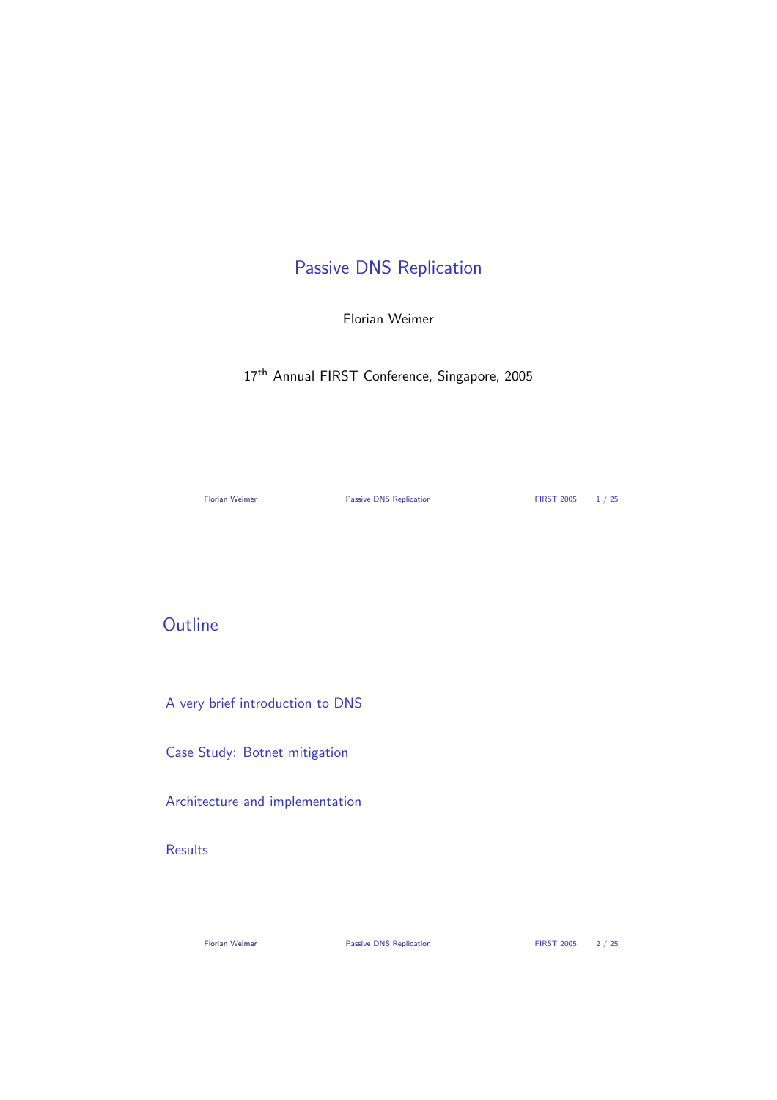# Passive DNS Replication

Florian Weimer

17<sup>th</sup> Annual FIRST Conference, Singapore, 2005

Florian Weimer **Passive DNS Replication** FIRST 2005 1/25

## **Outline**

A very brief introduction to DNS

Case Study: Botnet mitigation

Architecture and implementation

#### Results

Florian Weimer **Passive DNS Replication** FIRST 2005 2/25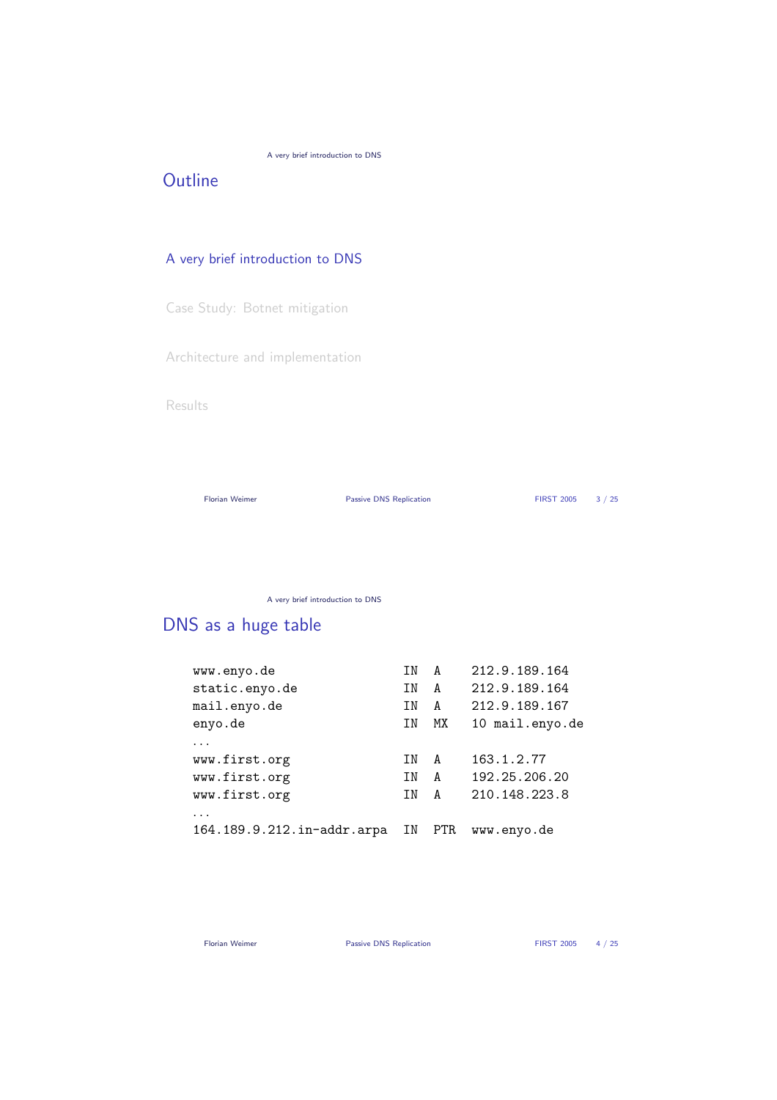#### A very brief introduction to DNS

## **Outline**

#### A very brief introduction to DNS

Case Study: Botnet mitigation

Architecture and implementation

Results

Florian Weimer **Passive DNS Replication** FIRST 2005 3/25

A very brief introduction to DNS

# DNS as a huge table

| TN | A    | 212.9.189.164   |
|----|------|-----------------|
| ΙN | A    | 212.9.189.164   |
| ΤN | A    | 212.9.189.167   |
| TN | МX   | 10 mail.enyo.de |
|    |      |                 |
| TN | A    | 163.1.2.77      |
| TN | A    | 192.25.206.20   |
| ΤN | A    | 210.148.223.8   |
|    |      |                 |
| ΙN | PTR. | www.enyo.de     |
|    |      |                 |

Florian Weimer **Passive DNS Replication** FIRST 2005 4 / 25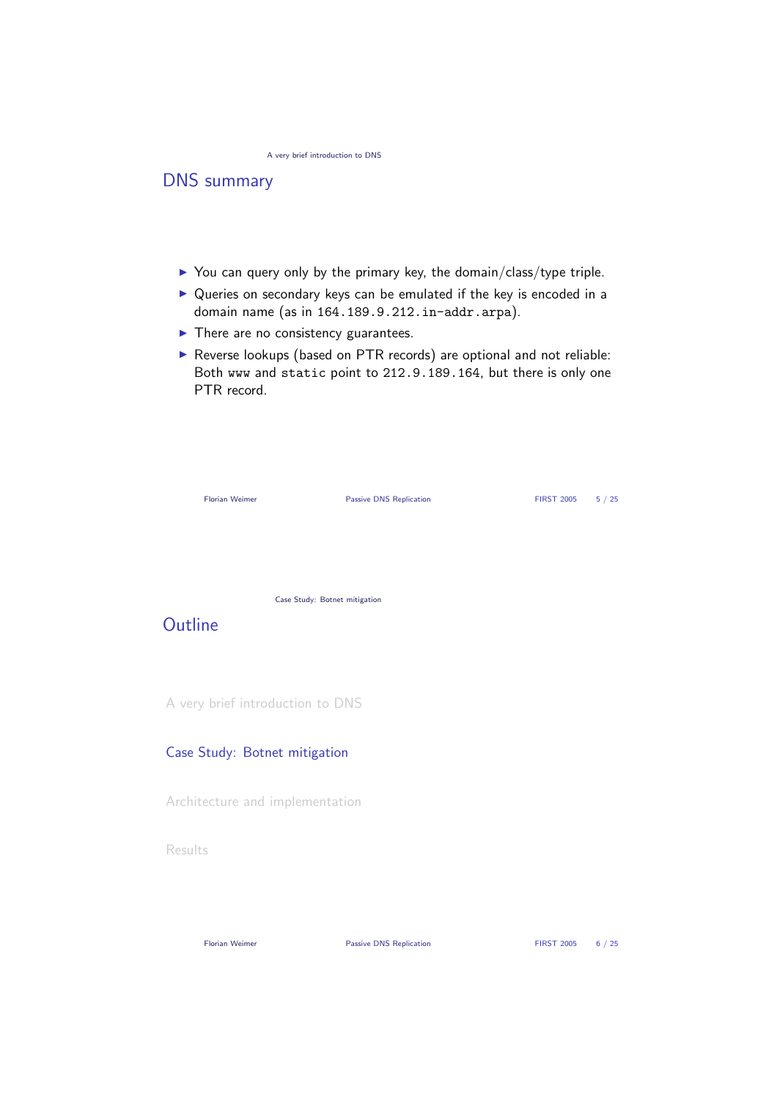## DNS summary

- $\triangleright$  You can query only by the primary key, the domain/class/type triple.
- $\triangleright$  Queries on secondary keys can be emulated if the key is encoded in a domain name (as in 164.189.9.212.in-addr.arpa).
- $\blacktriangleright$  There are no consistency guarantees.
- $\triangleright$  Reverse lookups (based on PTR records) are optional and not reliable: Both www and static point to 212.9.189.164, but there is only one PTR record.

| <b>Florian Weimer</b> |                                  | <b>Passive DNS Replication</b> | <b>FIRST 2005</b> | 5/25 |
|-----------------------|----------------------------------|--------------------------------|-------------------|------|
|                       |                                  |                                |                   |      |
|                       | Case Study: Botnet mitigation    |                                |                   |      |
| Outline               |                                  |                                |                   |      |
|                       | A very brief introduction to DNS |                                |                   |      |
|                       | Case Study: Botnet mitigation    |                                |                   |      |
|                       | Architecture and implementation  |                                |                   |      |

Results

Florian Weimer **Passive DNS Replication** FIRST 2005 6/25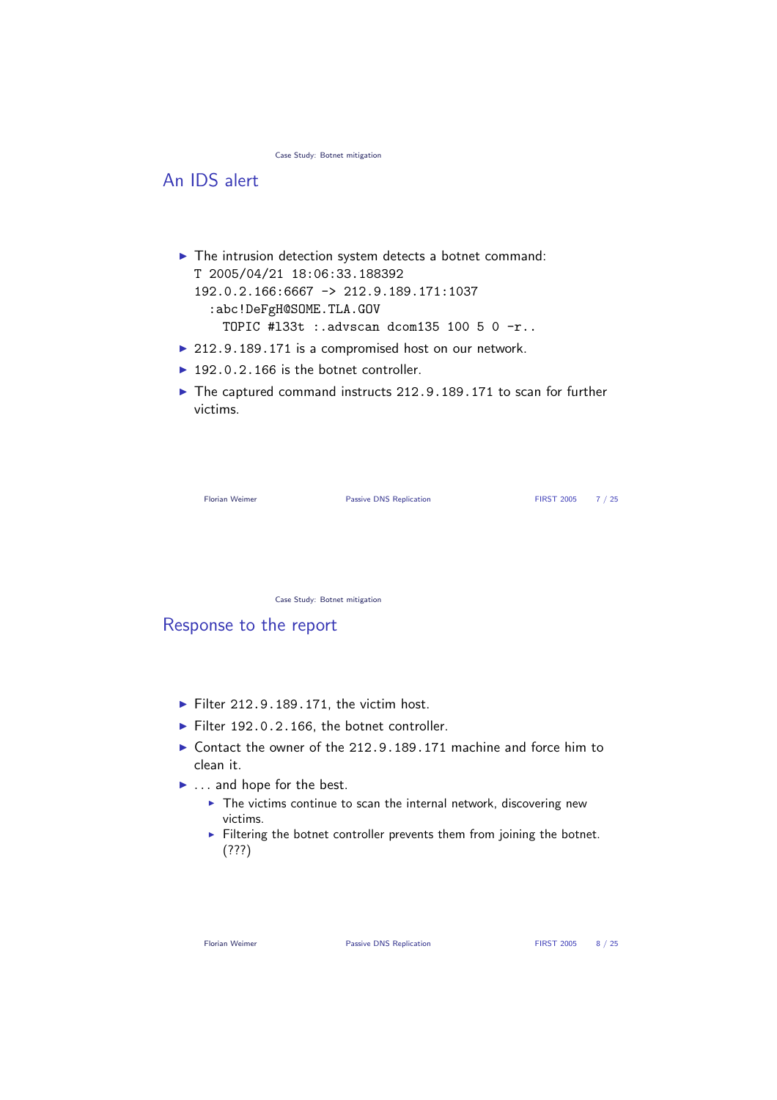Case Study: Botnet mitigation

### An IDS alert

- $\blacktriangleright$  The intrusion detection system detects a botnet command: T 2005/04/21 18:06:33.188392 192.0.2.166:6667 -> 212.9.189.171:1037 :abc!DeFgH@SOME.TLA.GOV TOPIC #l33t :.advscan dcom135 100 5 0 -r..
- $\triangleright$  212.9.189.171 is a compromised host on our network.
- $\blacktriangleright$  192.0.2.166 is the botnet controller.
- $\blacktriangleright$  The captured command instructs 212.9.189.171 to scan for further victims.

| <b>Florian Weimer</b> |  |  |
|-----------------------|--|--|
|-----------------------|--|--|

Passive DNS Replication FIRST 2005 7 / 25

Case Study: Botnet mitigation

#### Response to the report

- $\blacktriangleright$  Filter 212.9.189.171, the victim host.
- $\blacktriangleright$  Filter 192.0.2.166, the botnet controller.
- $\triangleright$  Contact the owner of the 212.9.189.171 machine and force him to clean it.
- $\blacktriangleright$  ... and hope for the best.
	- $\blacktriangleright$  The victims continue to scan the internal network, discovering new victims.
	- $\blacktriangleright$  Filtering the botnet controller prevents them from joining the botnet. (???)

Florian Weimer **Passive DNS Replication** FIRST 2005 8 / 25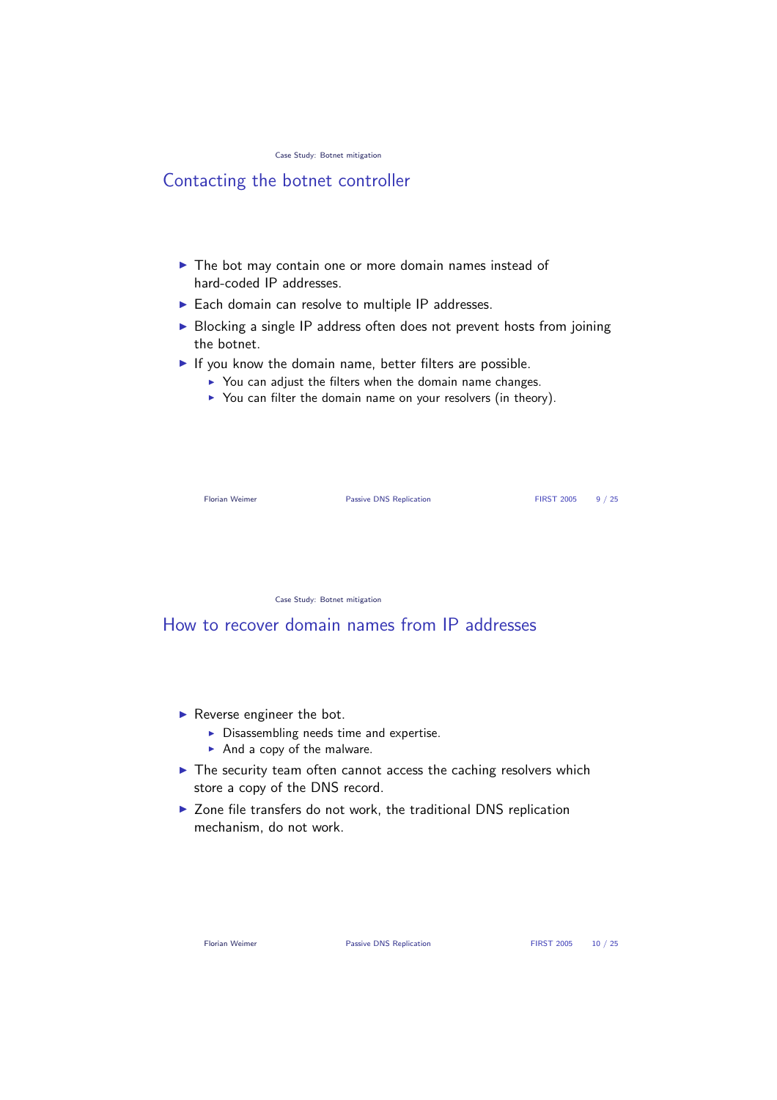### Contacting the botnet controller

- $\blacktriangleright$  The bot may contain one or more domain names instead of hard-coded IP addresses.
- $\blacktriangleright$  Each domain can resolve to multiple IP addresses.
- $\triangleright$  Blocking a single IP address often does not prevent hosts from joining the botnet.
- $\blacktriangleright$  If you know the domain name, better filters are possible.
	- $\triangleright$  You can adjust the filters when the domain name changes.
	- $\triangleright$  You can filter the domain name on your resolvers (in theory).

Florian Weimer **Passive DNS Replication** FIRST 2005 9 / 25

Case Study: Botnet mitigation

How to recover domain names from IP addresses

- $\blacktriangleright$  Reverse engineer the bot.
	- $\triangleright$  Disassembling needs time and expertise.
	- $\blacktriangleright$  And a copy of the malware.
- $\blacktriangleright$  The security team often cannot access the caching resolvers which store a copy of the DNS record.
- $\triangleright$  Zone file transfers do not work, the traditional DNS replication mechanism, do not work.

Florian Weimer **Passive DNS Replication FIRST 2005** 10 / 25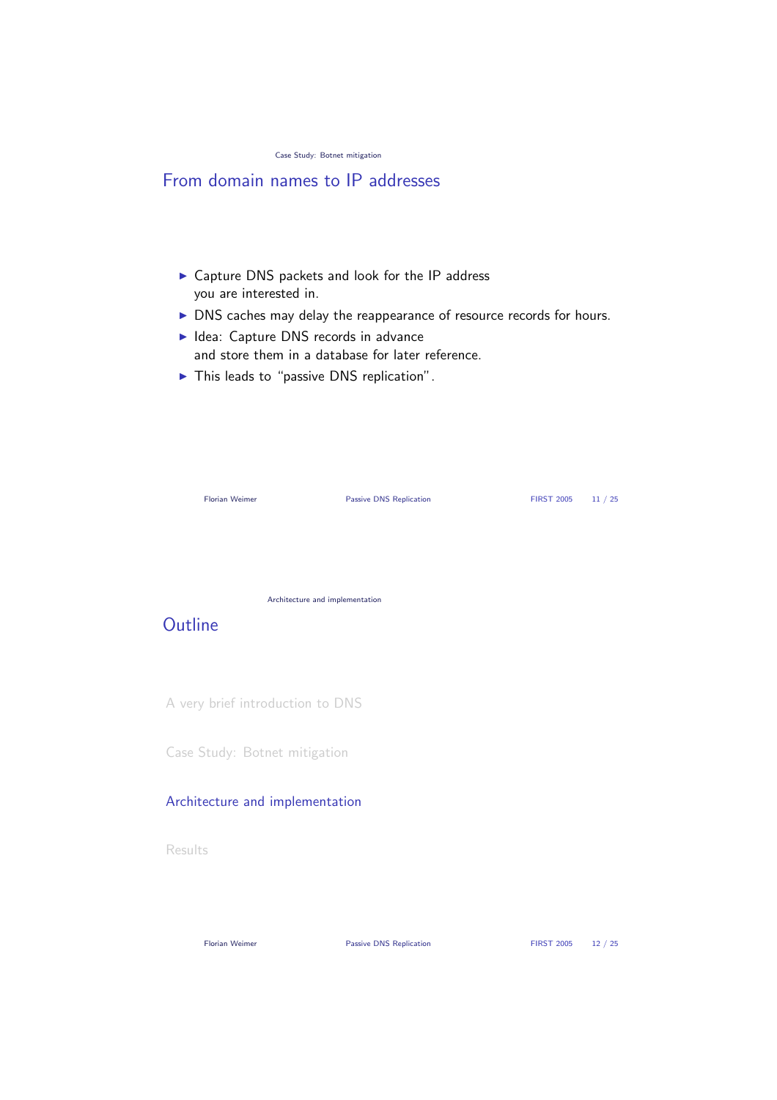|  |  |  | Case Study: Botnet mitigation |
|--|--|--|-------------------------------|
|--|--|--|-------------------------------|

### From domain names to IP addresses

- $\triangleright$  Capture DNS packets and look for the IP address you are interested in.
- $\triangleright$  DNS caches may delay the reappearance of resource records for hours.
- $\blacktriangleright$  Idea: Capture DNS records in advance and store them in a database for later reference.
- $\blacktriangleright$  This leads to "passive DNS replication".

|         | Florian Weimer                   | <b>Passive DNS Replication</b> | <b>FIRST 2005</b> | 11 / 25 |
|---------|----------------------------------|--------------------------------|-------------------|---------|
|         |                                  |                                |                   |         |
|         |                                  |                                |                   |         |
| Outline | Architecture and implementation  |                                |                   |         |
|         |                                  |                                |                   |         |
|         | A very brief introduction to DNS |                                |                   |         |
|         | Case Study: Botnet mitigation    |                                |                   |         |

#### Architecture and implementation

**Results** 

Florian Weimer **Passive DNS Replication** FIRST 2005 12 / 25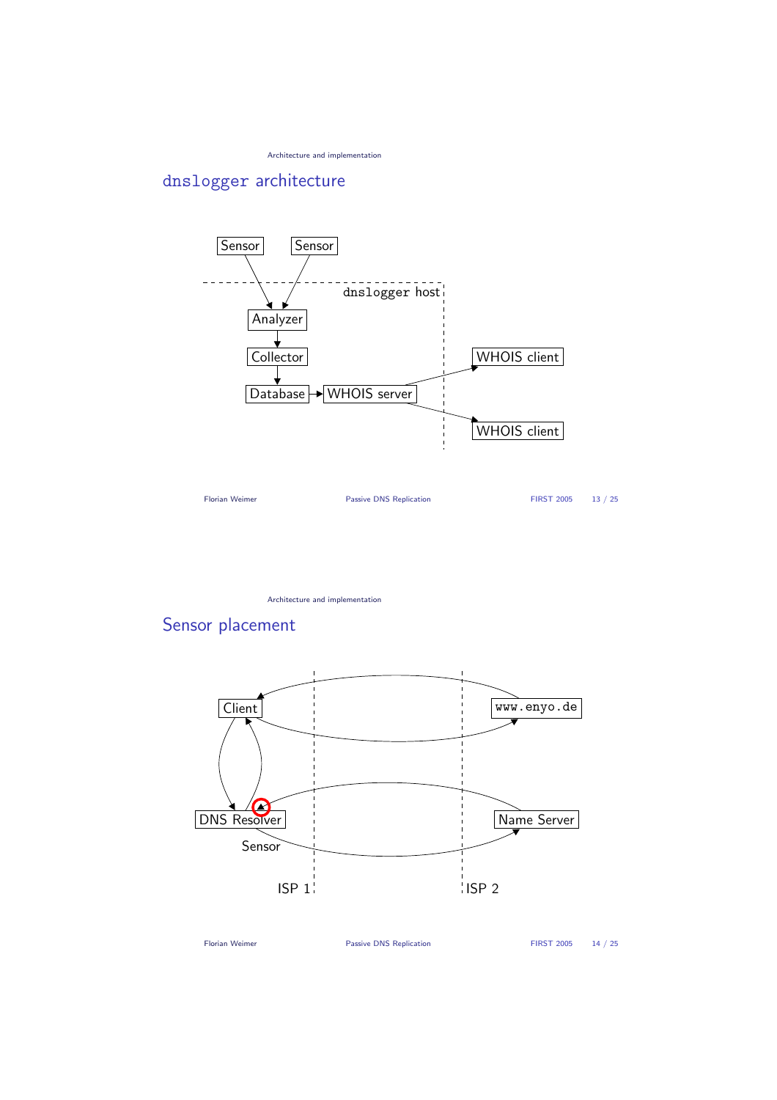Architecture and implementation

## dnslogger architecture



Architecture and implementation

# Sensor placement



Florian Weimer **Passive DNS Replication** FIRST 2005 14 / 25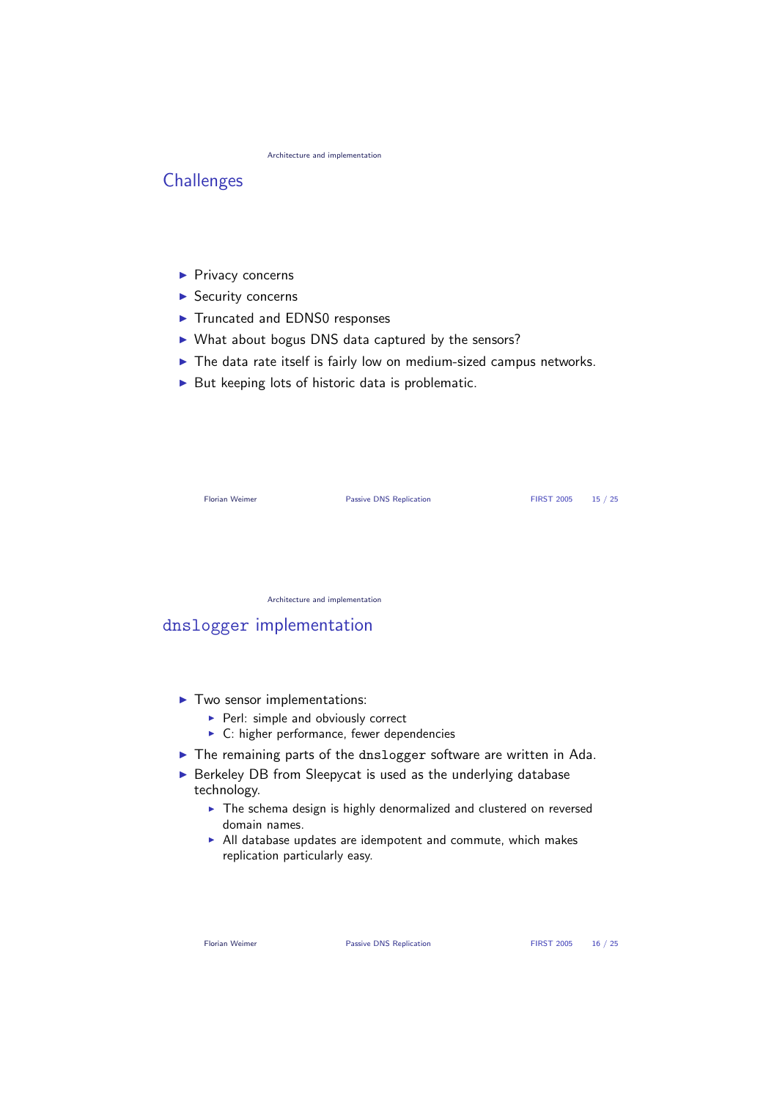Architecture and implementation

### **Challenges**

- $\blacktriangleright$  Privacy concerns
- $\blacktriangleright$  Security concerns
- ▶ Truncated and EDNS0 responses
- $\triangleright$  What about bogus DNS data captured by the sensors?
- $\blacktriangleright$  The data rate itself is fairly low on medium-sized campus networks.
- $\triangleright$  But keeping lots of historic data is problematic.

| Florian Weimer                  | Passive DNS Replication | <b>FIRST 2005</b> | 15/25 |
|---------------------------------|-------------------------|-------------------|-------|
|                                 |                         |                   |       |
|                                 |                         |                   |       |
| Architecture and implementation |                         |                   |       |

#### dnslogger implementation

- $\blacktriangleright$  Two sensor implementations:
	- $\blacktriangleright$  Perl: simple and obviously correct
	- $\blacktriangleright$  C: higher performance, fewer dependencies
- $\blacktriangleright$  The remaining parts of the dnslogger software are written in Ada.
- $\triangleright$  Berkeley DB from Sleepycat is used as the underlying database technology.
	- $\blacktriangleright$  The schema design is highly denormalized and clustered on reversed domain names.
	- $\blacktriangleright$  All database updates are idempotent and commute, which makes replication particularly easy.

Florian Weimer **Passive DNS Replication** FIRST 2005 16 / 25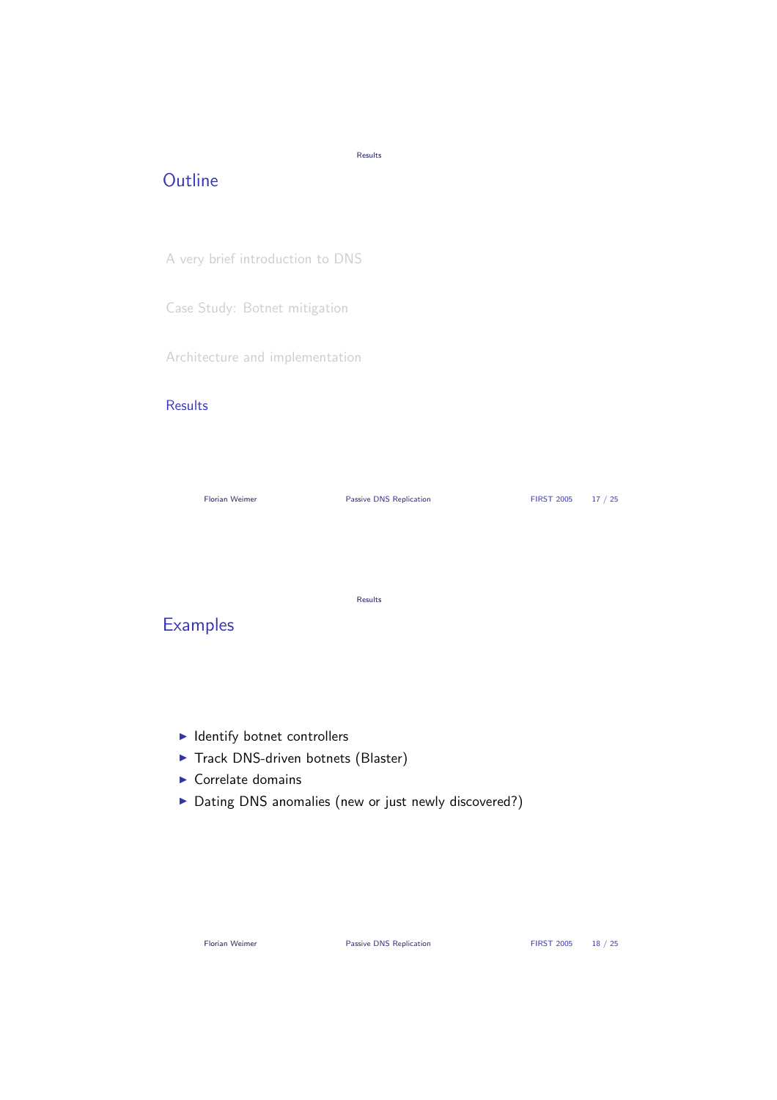### **Outline**

Results

A very brief introduction to DNS

Case Study: Botnet mitigation

Architecture and implementation

#### **Results**

Florian Weimer **Passive DNS Replication** FIRST 2005 17 / 25 Results **Examples** 

- $\blacktriangleright$  Identify botnet controllers
- $\blacktriangleright$  Track DNS-driven botnets (Blaster)
- $\blacktriangleright$  Correlate domains
- ▶ Dating DNS anomalies (new or just newly discovered?)

Florian Weimer **Passive DNS Replication** FIRST 2005 18 / 25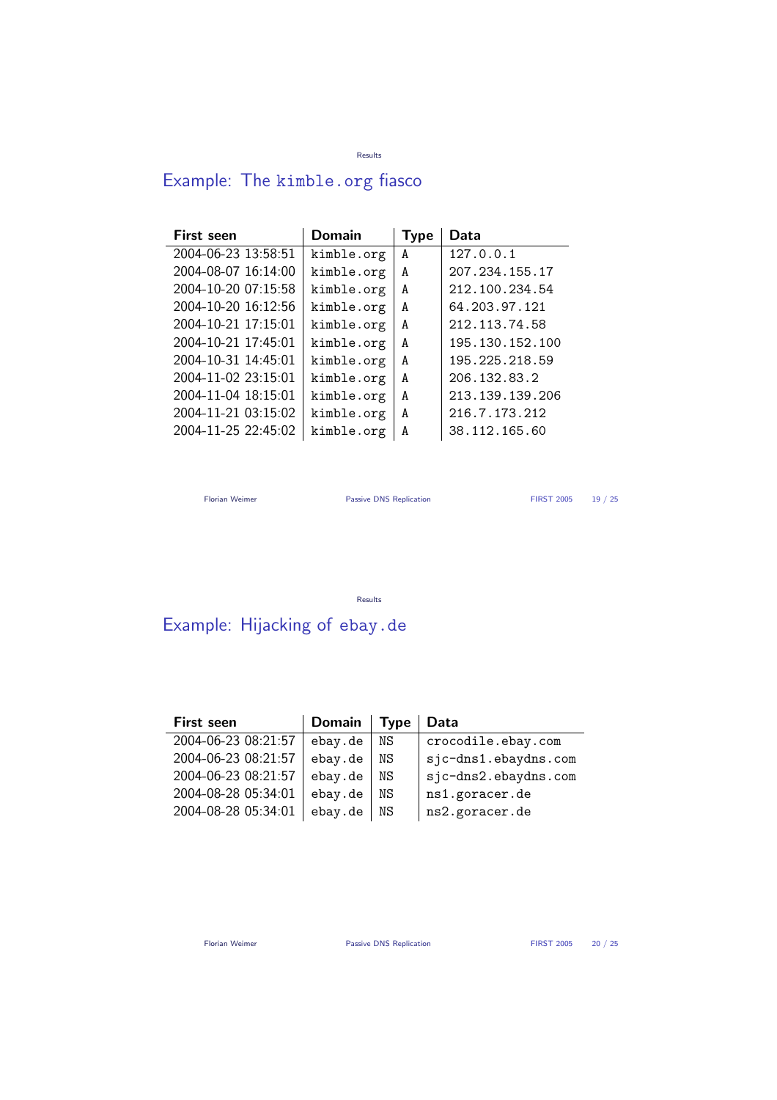#### Results

# Example: The kimble.org fiasco

| <b>First seen</b>   | <b>Domain</b> | <b>Type</b> | Data            |
|---------------------|---------------|-------------|-----------------|
| 2004-06-23 13:58:51 | kimble.org    | A           | 127.0.0.1       |
| 2004-08-07 16:14:00 | kimble.org    | A           | 207.234.155.17  |
| 2004-10-20 07:15:58 | kimble.org    | A           | 212.100.234.54  |
| 2004-10-20 16:12:56 | kimble.org    | A           | 64.203.97.121   |
| 2004-10-21 17:15:01 | kimble.org    | A           | 212.113.74.58   |
| 2004-10-21 17:45:01 | kimble.org    | A           | 195.130.152.100 |
| 2004-10-31 14:45:01 | kimble.org    | A           | 195.225.218.59  |
| 2004-11-02 23:15:01 | kimble.org    | A           | 206.132.83.2    |
| 2004-11-04 18:15:01 | kimble.org    | A           | 213.139.139.206 |
| 2004-11-21 03:15:02 | kimble.org    | A           | 216.7.173.212   |
| 2004-11-25 22:45:02 | kimble.org    | A           | 38.112.165.60   |

Florian Weimer **Passive DNS Replication** FIRST 2005 19 / 25

Results

# Example: Hijacking of ebay.de

| <b>First seen</b>   | <b>Domain</b> | <b>Type</b> | Data                 |
|---------------------|---------------|-------------|----------------------|
| 2004-06-23 08:21:57 | ebay.de       | NS          | crocodile.ebay.com   |
| 2004-06-23 08:21:57 | ebay.de       | ΝS          | sjc-dns1.ebaydns.com |
| 2004-06-23 08:21:57 | ebay.de       | ΝS          | sjc-dns2.ebaydns.com |
| 2004-08-28 05:34:01 | ebay.de       | ΝS          | ns1.goracer.de       |
| 2004-08-28 05:34:01 | ebay.de       | NS          | ns2.goracer.de       |
|                     |               |             |                      |

Florian Weimer **Passive DNS Replication** FIRST 2005 20 / 25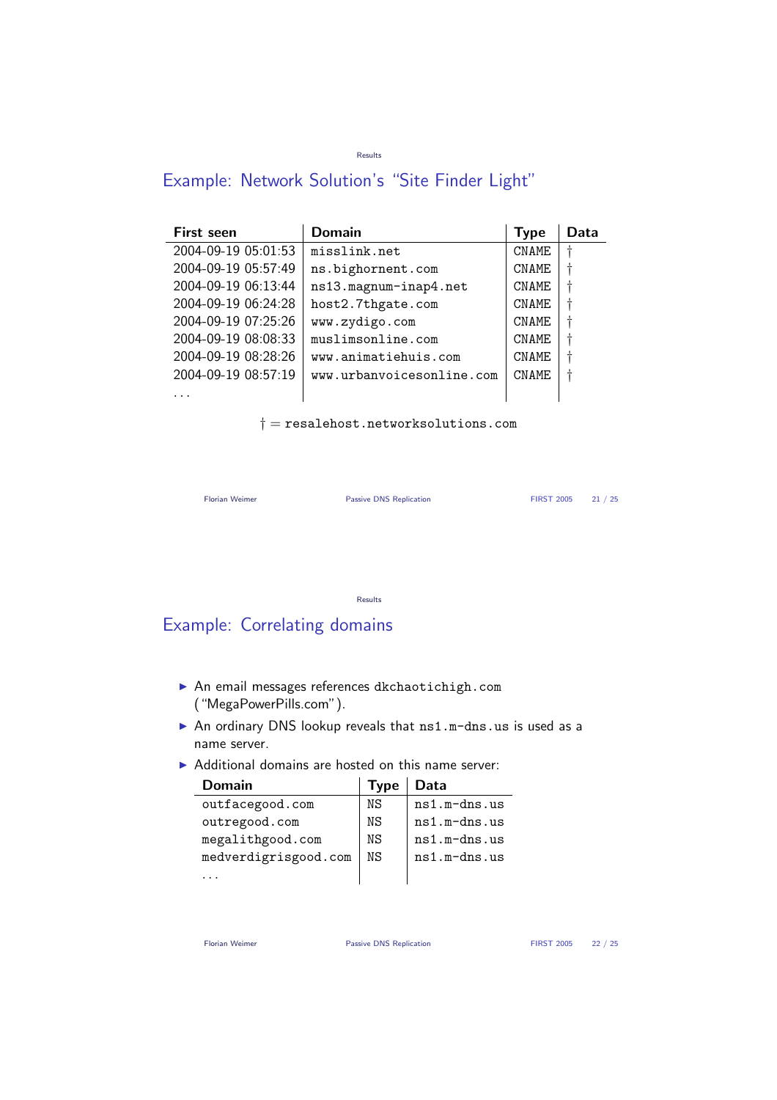#### Results

## Example: Network Solution's "Site Finder Light"

| <b>First seen</b>   | Domain                    | <b>Type</b>  | Data |
|---------------------|---------------------------|--------------|------|
| 2004-09-19 05:01:53 | misslink.net              | <b>CNAME</b> |      |
| 2004-09-19 05:57:49 | ns.bighornent.com         | <b>CNAME</b> |      |
| 2004-09-19 06:13:44 | ns13.magnum-inap4.net     | <b>CNAME</b> |      |
| 2004-09-19 06:24:28 | host2.7thgate.com         | <b>CNAME</b> |      |
| 2004-09-19 07:25:26 | www.zydigo.com            | <b>CNAME</b> |      |
| 2004-09-19 08:08:33 | muslimsonline.com         | <b>CNAME</b> |      |
| 2004-09-19 08:28:26 | www.animatiehuis.com      | <b>CNAME</b> |      |
| 2004-09-19 08:57:19 | www.urbanvoicesonline.com | <b>CNAME</b> |      |
|                     |                           |              |      |

 $\dagger$  = resalehost.networksolutions.com

```
Florian Weimer Passive DNS Replication FIRST 2005 21 / 25
```
Results

## Example: Correlating domains

- ▶ An email messages references dkchaotichigh.com ("MegaPowerPills.com").
- An ordinary DNS lookup reveals that ns1.m-dns.us is used as a name server.
- $\triangleright$  Additional domains are hosted on this name server:

| Domain               | <b>Type</b> | Data           |
|----------------------|-------------|----------------|
| outfacegood.com      | ΝS          | $ns1.m-dns.us$ |
| outregood.com        | ΝS          | $ns1.m-dns.us$ |
| megalithgood.com     | ΝS          | $ns1.m-dns.us$ |
| medverdigrisgood.com | ΝS          | $ns1.m-dns.us$ |
|                      |             |                |

Florian Weimer **Passive DNS Replication** FIRST 2005 22 / 25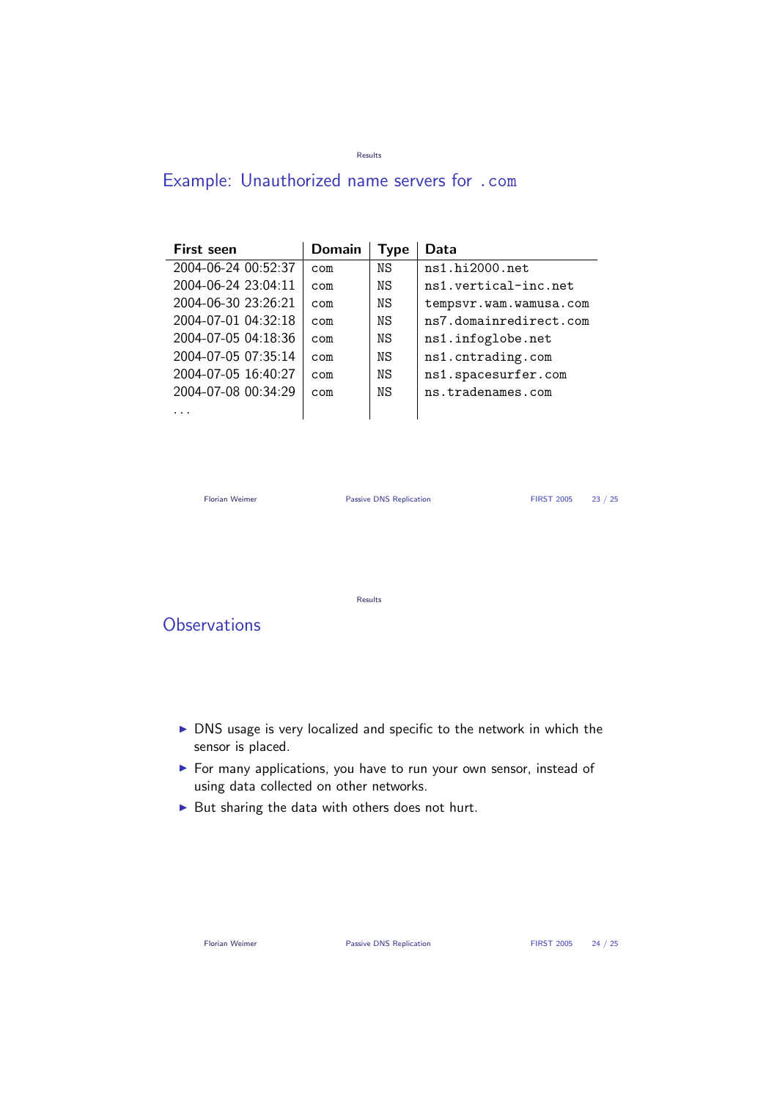#### Results

# Example: Unauthorized name servers for .com

| <b>First seen</b>   | <b>Domain</b> | Type | Data                   |
|---------------------|---------------|------|------------------------|
| 2004-06-24 00:52:37 | com           | ΝS   | ns1.hi2000.net         |
| 2004-06-24 23:04:11 | com           | ΝS   | ns1.vertical-inc.net   |
| 2004-06-30 23:26:21 | com           | ΝS   | tempsvr.wam.wamusa.com |
| 2004-07-01 04:32:18 | com           | ΝS   | ns7.domainredirect.com |
| 2004-07-05 04:18:36 | com           | ΝS   | ns1.infoglobe.net      |
| 2004-07-05 07:35:14 | com           | ΝS   | ns1.cntrading.com      |
| 2004-07-05 16:40:27 | com           | ΝS   | ns1.spacesurfer.com    |
| 2004-07-08 00:34:29 | com           | ΝS   | ns.tradenames.com      |
|                     |               |      |                        |

Florian Weimer **Passive DNS Replication** FIRST 2005 23 / 25

Results

**Observations** 

- DNS usage is very localized and specific to the network in which the sensor is placed.
- ▶ For many applications, you have to run your own sensor, instead of using data collected on other networks.
- $\blacktriangleright$  But sharing the data with others does not hurt.

Florian Weimer **Passive DNS Replication** FIRST 2005 24 / 25